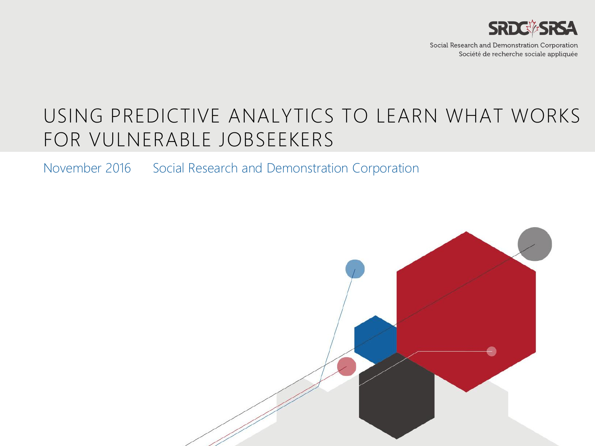

Social Research and Demonstration Corporation Société de recherche sociale appliquée

### USING PREDICTIVE ANALYTICS TO LEARN WHAT WORKS FOR VULNERABLE JOBSEEKERS

November 2016 Social Research and Demonstration Corporation

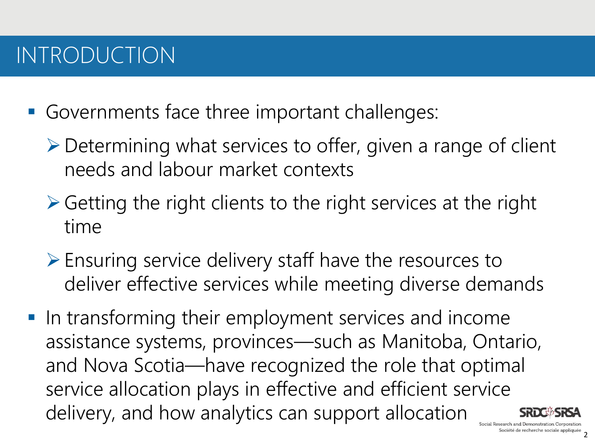## INTRODUCTION

- Governments face three important challenges:
	- Determining what services to offer, given a range of client needs and labour market contexts
	- $\triangleright$  Getting the right clients to the right services at the right time
	- $\triangleright$  Ensuring service delivery staff have the resources to deliver effective services while meeting diverse demands
- **IF In transforming their employment services and income** assistance systems, provinces—such as Manitoba, Ontario, and Nova Scotia—have recognized the role that optimal service allocation plays in effective and efficient service delivery, and how analytics can support allocation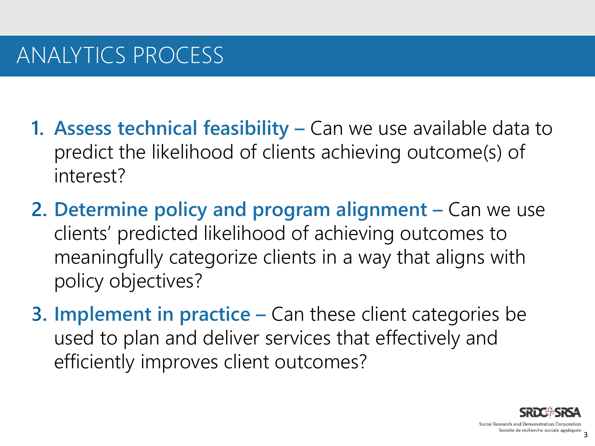## ANALYTICS PROCESS

- **1. Assess technical feasibility Can we use available data to** predict the likelihood of clients achieving outcome(s) of interest?
- **2. Determine policy and program alignment –** Can we use clients' predicted likelihood of achieving outcomes to meaningfully categorize clients in a way that aligns with policy objectives?
- **3. Implement in practice –** Can these client categories be used to plan and deliver services that effectively and efficiently improves client outcomes?

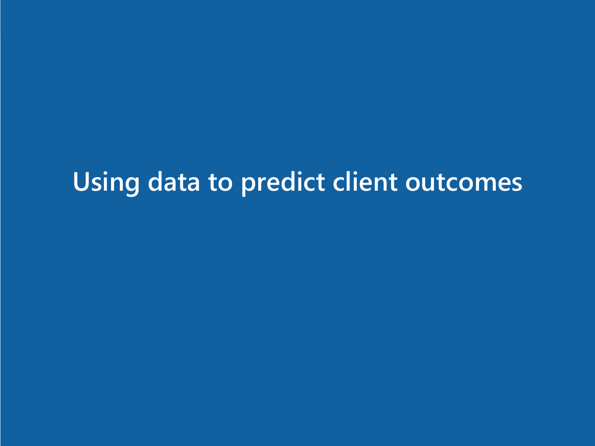# **Using data to predict client outcomes**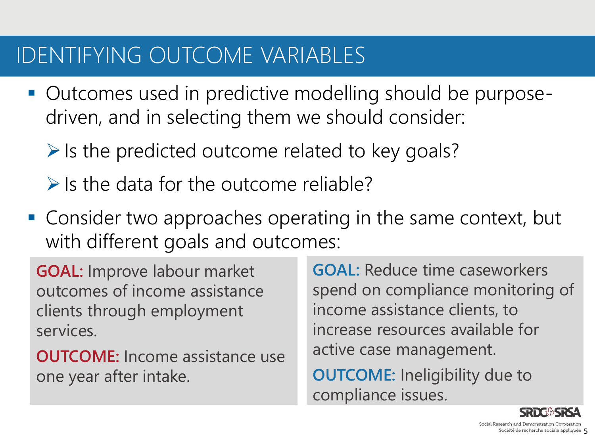## IDENTIFYING OUTCOME VARIABLES

- Outcomes used in predictive modelling should be purposedriven, and in selecting them we should consider:
	- $\triangleright$  Is the predicted outcome related to key goals?
	- $\triangleright$  Is the data for the outcome reliable?
- Consider two approaches operating in the same context, but with different goals and outcomes:

**GOAL:** Improve labour market outcomes of income assistance clients through employment services.

**OUTCOME:** Income assistance use one year after intake.

**GOAL:** Reduce time caseworkers spend on compliance monitoring of income assistance clients, to increase resources available for active case management.

**OUTCOME:** Ineligibility due to compliance issues.

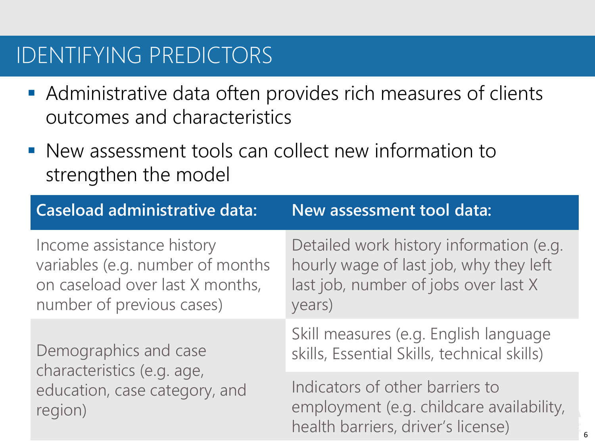## IDENTIFYING PREDICTORS

- Administrative data often provides rich measures of clients outcomes and characteristics
- New assessment tools can collect new information to strengthen the model

| <b>Caseload administrative data:</b>                                                                                          | New assessment tool data:                                                                                                           |
|-------------------------------------------------------------------------------------------------------------------------------|-------------------------------------------------------------------------------------------------------------------------------------|
| Income assistance history<br>variables (e.g. number of months<br>on caseload over last X months,<br>number of previous cases) | Detailed work history information (e.g.<br>hourly wage of last job, why they left<br>last job, number of jobs over last X<br>years) |
| Demographics and case<br>characteristics (e.g. age,<br>education, case category, and<br>region)                               | Skill measures (e.g. English language<br>skills, Essential Skills, technical skills)                                                |
|                                                                                                                               | Indicators of other barriers to<br>employment (e.g. childcare availability,<br>health barriers, driver's license)                   |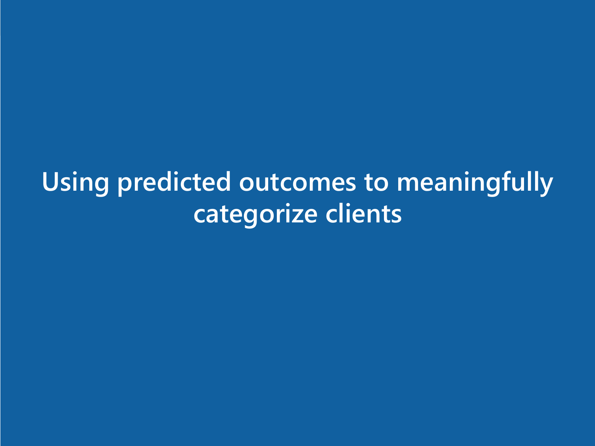**Using predicted outcomes to meaningfully categorize clients**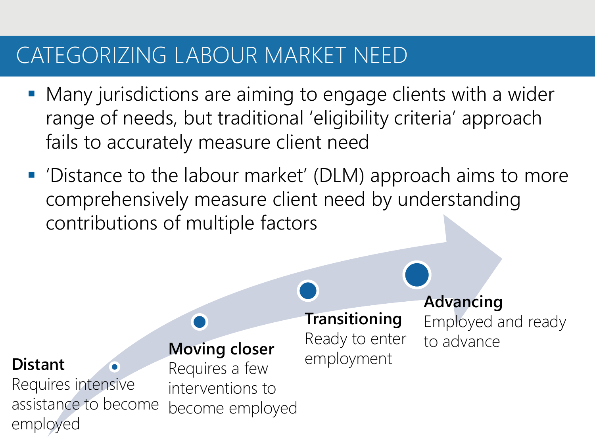## CATEGORIZING LABOUR MARKET NEED

- Many jurisdictions are aiming to engage clients with a wider range of needs, but traditional 'eligibility criteria' approach fails to accurately measure client need
- 'Distance to the labour market' (DLM) approach aims to more comprehensively measure client need by understanding contributions of multiple factors

#### **Distant**

Requires intensive assistance to become employed

### **Moving closer**

Requires a few interventions to become employed

### **Transitioning** Ready to enter

employment

**Advancing** Employed and ready to advance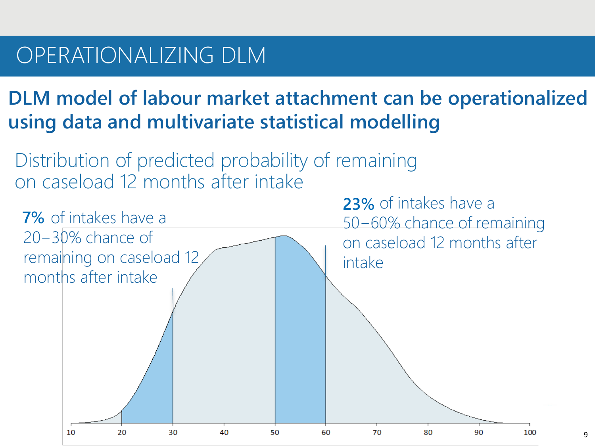### OPERATIONALIZING DLM

### **DLM model of labour market attachment can be operationalized using data and multivariate statistical modelling**

Distribution of predicted probability of remaining on caseload 12 months after intake

**23%** of intakes have a **23% 7%** of intakes have a **7%** 50−60% chance of remaining 20−30% chance of on caseload 12 months after remaining on caseload 12 intake months after intake 70  $10$ 20 30 40 50 60 80 90 100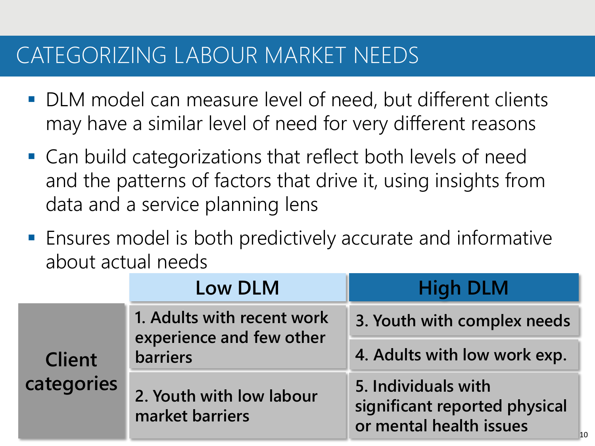## CATEGORIZING LABOUR MARKET NEEDS

- DLM model can measure level of need, but different clients may have a similar level of need for very different reasons
- Can build categorizations that reflect both levels of need and the patterns of factors that drive it, using insights from data and a service planning lens
- Ensures model is both predictively accurate and informative about actual needs

|                                                | Low DLM                                                | <b>High DLM</b>                                                                 |
|------------------------------------------------|--------------------------------------------------------|---------------------------------------------------------------------------------|
| <b>barriers</b><br><b>Client</b><br>categories | 1. Adults with recent work<br>experience and few other | 3. Youth with complex needs                                                     |
|                                                |                                                        | 4. Adults with low work exp.                                                    |
|                                                | 2. Youth with low labour<br>market barriers            | 5. Individuals with<br>significant reported physical<br>or mental health issues |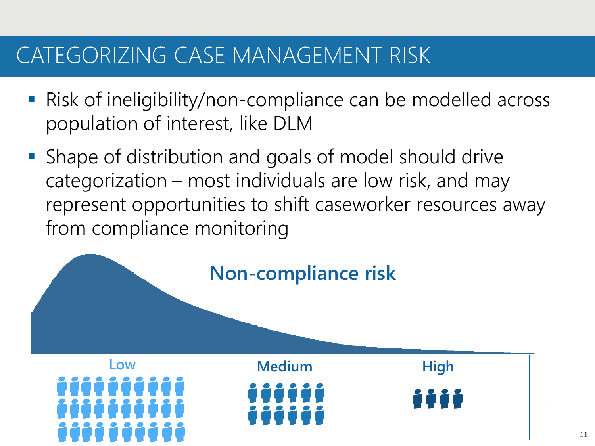## CATEGORIZING CASE MANAGEMENT RISK

- Risk of ineligibility/non-compliance can be modelled across population of interest, like DLM
- Shape of distribution and goals of model should drive categorization – most individuals are low risk, and may represent opportunities to shift caseworker resources away from compliance monitoring

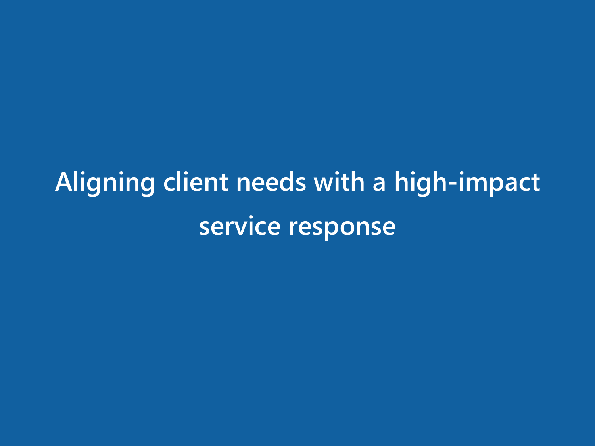# **Aligning client needs with a high-impact service response**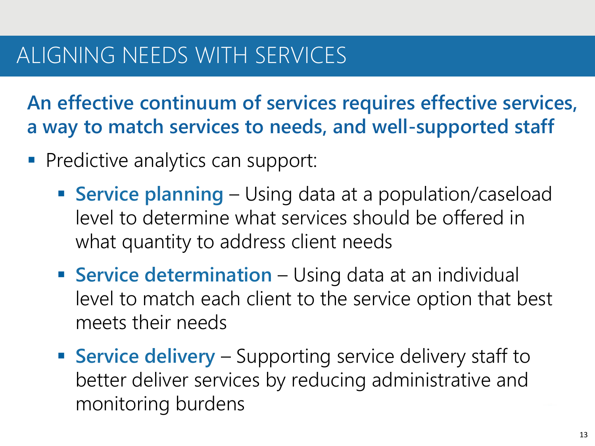## ALIGNING NEEDS WITH SERVICES

**An effective continuum of services requires effective services, a way to match services to needs, and well-supported staff**

- **Predictive analytics can support:** 
	- **Service planning**  Using data at a population/caseload level to determine what services should be offered in what quantity to address client needs
	- **Service determination** Using data at an individual level to match each client to the service option that best meets their needs
	- **Service delivery** Supporting service delivery staff to better deliver services by reducing administrative and monitoring burdens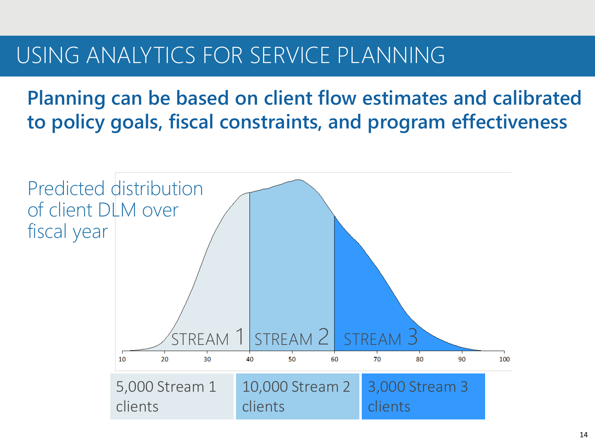### USING ANALYTICS FOR SERVICE PLANNING

**Planning can be based on client flow estimates and calibrated to policy goals, fiscal constraints, and program effectiveness**

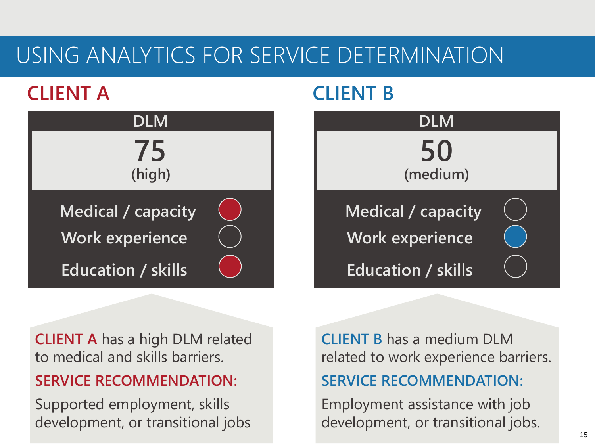## USING ANALYTICS FOR SERVICE DETERMINATION

### **CLIENT A**



### **CLIENT B**



**CLIENT A** has a high DLM related to medical and skills barriers.

**SERVICE RECOMMENDATION:**

Supported employment, skills development, or transitional jobs **CLIENT B** has a medium DLM related to work experience barriers. **SERVICE RECOMMENDATION:**

Employment assistance with job development, or transitional jobs.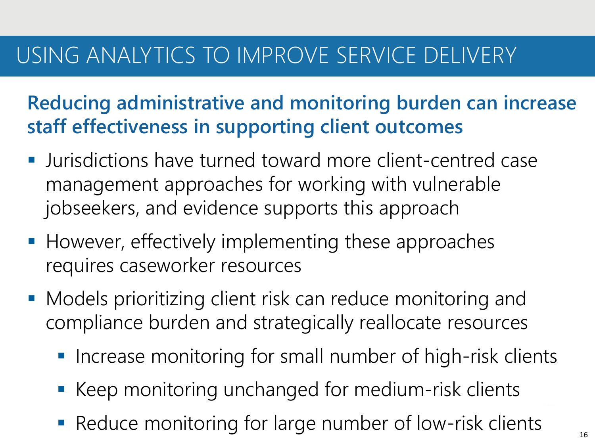## USING ANALYTICS TO IMPROVE SERVICE DELIVERY

**Reducing administrative and monitoring burden can increase staff effectiveness in supporting client outcomes**

- Jurisdictions have turned toward more client-centred case management approaches for working with vulnerable jobseekers, and evidence supports this approach
- However, effectively implementing these approaches requires caseworker resources
- **Models prioritizing client risk can reduce monitoring and** compliance burden and strategically reallocate resources
	- **Increase monitoring for small number of high-risk clients**
	- Keep monitoring unchanged for medium-risk clients
	- Reduce monitoring for large number of low-risk clients